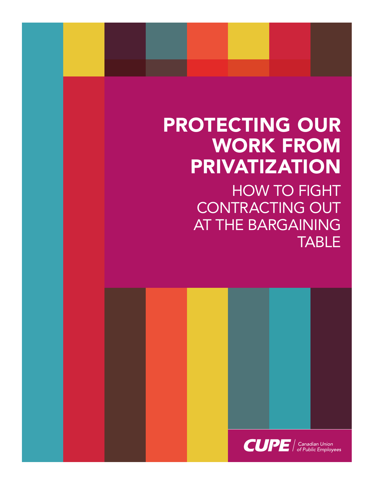# PROTECTING OUR WORK FROM PRIVATIZATION

HOW TO FIGHT CONTRACTING OUT AT THE BARGAINING **TABLE** 

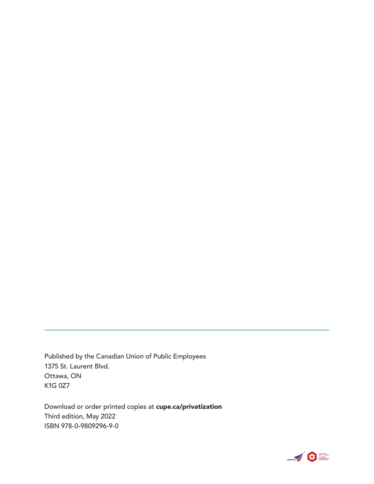Published by the Canadian Union of Public Employees 1375 St. Laurent Blvd. Ottawa, ON K1G 0Z7

Download or order printed copies at cupe.ca/privatization Third edition, May 2022 ISBN 978-0-9809296-9-0

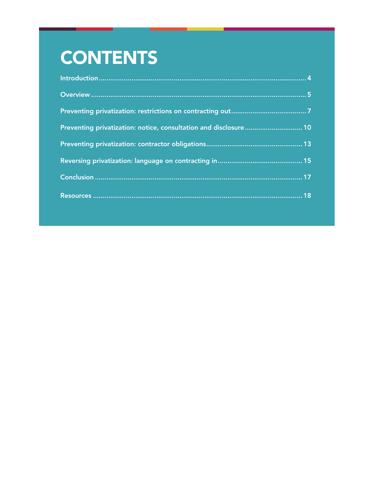# **CONTENTS**

| Preventing privatization: notice, consultation and disclosure 10 |  |
|------------------------------------------------------------------|--|
|                                                                  |  |
|                                                                  |  |
|                                                                  |  |
|                                                                  |  |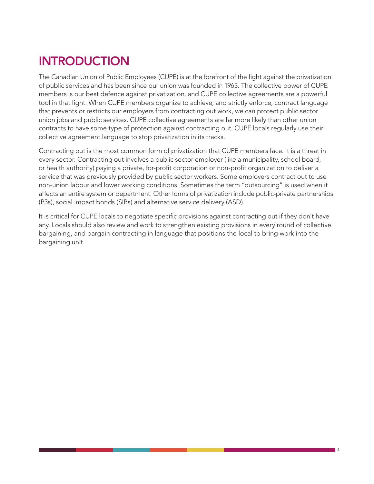# INTRODUCTION

The Canadian Union of Public Employees (CUPE) is at the forefront of the fight against the privatization of public services and has been since our union was founded in 1963. The collective power of CUPE members is our best defence against privatization, and CUPE collective agreements are a powerful tool in that fight. When CUPE members organize to achieve, and strictly enforce, contract language that prevents or restricts our employers from contracting out work, we can protect public sector union jobs and public services. CUPE collective agreements are far more likely than other union contracts to have some type of protection against contracting out. CUPE locals regularly use their collective agreement language to stop privatization in its tracks.

Contracting out is the most common form of privatization that CUPE members face. It is a threat in every sector. Contracting out involves a public sector employer (like a municipality, school board, or health authority) paying a private, for-profit corporation or non-profit organization to deliver a service that was previously provided by public sector workers. Some employers contract out to use non-union labour and lower working conditions. Sometimes the term "outsourcing" is used when it affects an entire system or department. Other forms of privatization include public-private partnerships (P3s), social impact bonds (SIBs) and alternative service delivery (ASD).

It is critical for CUPE locals to negotiate specific provisions against contracting out if they don't have any. Locals should also review and work to strengthen existing provisions in every round of collective bargaining, and bargain contracting in language that positions the local to bring work into the bargaining unit.

 $\overline{1}$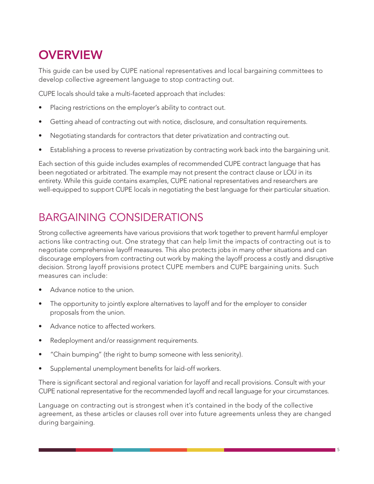# **OVERVIEW**

This guide can be used by CUPE national representatives and local bargaining committees to develop collective agreement language to stop contracting out.

CUPE locals should take a multi-faceted approach that includes:

- Placing restrictions on the employer's ability to contract out.
- Getting ahead of contracting out with notice, disclosure, and consultation requirements.
- Negotiating standards for contractors that deter privatization and contracting out.
- Establishing a process to reverse privatization by contracting work back into the bargaining unit.

Each section of this guide includes examples of recommended CUPE contract language that has been negotiated or arbitrated. The example may not present the contract clause or LOU in its entirety. While this guide contains examples, CUPE national representatives and researchers are well-equipped to support CUPE locals in negotiating the best language for their particular situation.

### BARGAINING CONSIDERATIONS

Strong collective agreements have various provisions that work together to prevent harmful employer actions like contracting out. One strategy that can help limit the impacts of contracting out is to negotiate comprehensive layoff measures. This also protects jobs in many other situations and can discourage employers from contracting out work by making the layoff process a costly and disruptive decision. Strong layoff provisions protect CUPE members and CUPE bargaining units. Such measures can include:

- Advance notice to the union.
- The opportunity to jointly explore alternatives to layoff and for the employer to consider proposals from the union.
- Advance notice to affected workers.
- Redeployment and/or reassignment requirements.
- "Chain bumping" (the right to bump someone with less seniority).
- Supplemental unemployment benefits for laid-off workers.

There is significant sectoral and regional variation for layoff and recall provisions. Consult with your CUPE national representative for the recommended layoff and recall language for your circumstances.

Language on contracting out is strongest when it's contained in the body of the collective agreement, as these articles or clauses roll over into future agreements unless they are changed during bargaining.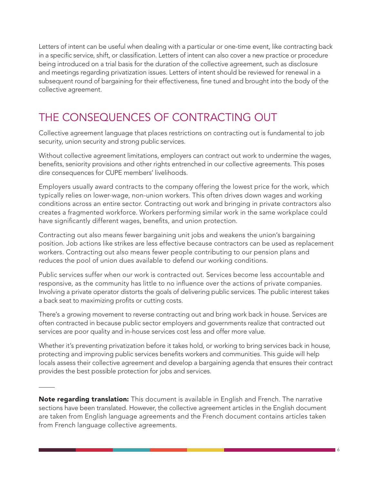Letters of intent can be useful when dealing with a particular or one-time event, like contracting back in a specific service, shift, or classification. Letters of intent can also cover a new practice or procedure being introduced on a trial basis for the duration of the collective agreement, such as disclosure and meetings regarding privatization issues. Letters of intent should be reviewed for renewal in a subsequent round of bargaining for their effectiveness, fine tuned and brought into the body of the collective agreement.

### THE CONSEQUENCES OF CONTRACTING OUT

Collective agreement language that places restrictions on contracting out is fundamental to job security, union security and strong public services.

Without collective agreement limitations, employers can contract out work to undermine the wages, benefits, seniority provisions and other rights entrenched in our collective agreements. This poses dire consequences for CUPE members' livelihoods.

Employers usually award contracts to the company offering the lowest price for the work, which typically relies on lower-wage, non-union workers. This often drives down wages and working conditions across an entire sector. Contracting out work and bringing in private contractors also creates a fragmented workforce. Workers performing similar work in the same workplace could have significantly different wages, benefits, and union protection.

Contracting out also means fewer bargaining unit jobs and weakens the union's bargaining position. Job actions like strikes are less effective because contractors can be used as replacement workers. Contracting out also means fewer people contributing to our pension plans and reduces the pool of union dues available to defend our working conditions.

Public services suffer when our work is contracted out. Services become less accountable and responsive, as the community has little to no influence over the actions of private companies. Involving a private operator distorts the goals of delivering public services. The public interest takes a back seat to maximizing profits or cutting costs.

There's a growing movement to reverse contracting out and bring work back in house. Services are often contracted in because public sector employers and governments realize that contracted out services are poor quality and in-house services cost less and offer more value.

Whether it's preventing privatization before it takes hold, or working to bring services back in house, protecting and improving public services benefits workers and communities. This quide will help locals assess their collective agreement and develop a bargaining agenda that ensures their contract provides the best possible protection for jobs and services.

Note regarding translation: This document is available in English and French. The narrative sections have been translated. However, the collective agreement articles in the English document are taken from English language agreements and the French document contains articles taken from French language collective agreements.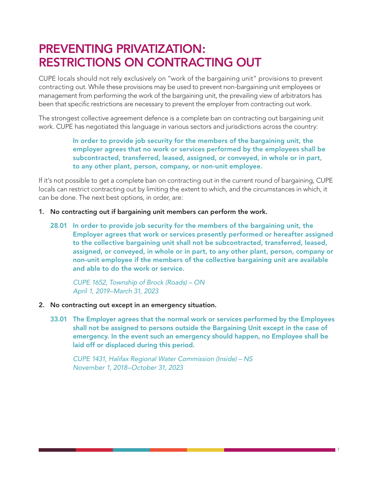## PREVENTING PRIVATIZATION: RESTRICTIONS ON CONTRACTING OUT

CUPE locals should not rely exclusively on "work of the bargaining unit" provisions to prevent contracting out. While these provisions may be used to prevent non-bargaining unit employees or management from performing the work of the bargaining unit, the prevailing view of arbitrators has been that specific restrictions are necessary to prevent the employer from contracting out work.

The strongest collective agreement defence is a complete ban on contracting out bargaining unit work. CUPE has negotiated this language in various sectors and jurisdictions across the country:

#### In order to provide job security for the members of the bargaining unit, the employer agrees that no work or services performed by the employees shall be subcontracted, transferred, leased, assigned, or conveyed, in whole or in part, to any other plant, person, company, or non-unit employee.

If it's not possible to get a complete ban on contracting out in the current round of bargaining, CUPE locals can restrict contracting out by limiting the extent to which, and the circumstances in which, it can be done. The next best options, in order, are:

- 1. No contracting out if bargaining unit members can perform the work.
	- 28.01 In order to provide job security for the members of the bargaining unit, the Employer agrees that work or services presently performed or hereafter assigned to the collective bargaining unit shall not be subcontracted, transferred, leased, assigned, or conveyed, in whole or in part, to any other plant, person, company or non-unit employee if the members of the collective bargaining unit are available and able to do the work or service.

 *CUPE 1652, Township of Brock (Roads) – ON April 1, 2019–March 31, 2023*

- 2. No contracting out except in an emergency situation.
	- 33.01 The Employer agrees that the normal work or services performed by the Employees shall not be assigned to persons outside the Bargaining Unit except in the case of emergency. In the event such an emergency should happen, no Employee shall be laid off or displaced during this period.

 *CUPE 1431, Halifax Regional Water Commission (Inside) – NS November 1, 2018–October 31, 2023*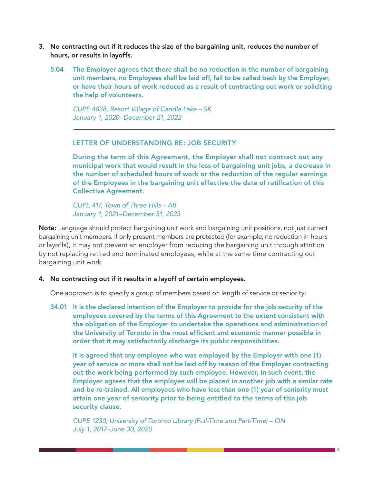- 3. No contracting out if it reduces the size of the bargaining unit, reduces the number of hours, or results in layoffs.
	- 5.04 The Employer agrees that there shall be no reduction in the number of bargaining unit members, no Employees shall be laid off, fail to be called back by the Employer, or have their hours of work reduced as a result of contracting out work or soliciting the help of volunteers.

 *CUPE 4838, Resort Village of Candle Lake – SK January 1, 2020–December 21, 2022*

LETTER OF UNDERSTANDING RE: JOB SECURITY

 During the term of this Agreement, the Employer shall not contract out any municipal work that would result in the loss of bargaining unit jobs, a decrease in the number of scheduled hours of work or the reduction of the regular earnings of the Employees in the bargaining unit effective the date of ratification of this Collective Agreement.

 *CUPE 417, Town of Three Hills – AB January 1, 2021–December 31, 2023*

Note: Language should protect bargaining unit work and bargaining unit positions, not just current bargaining unit members. If only present members are protected (for example, no reduction in hours or layoffs), it may not prevent an employer from reducing the bargaining unit through attrition by not replacing retired and terminated employees, while at the same time contracting out bargaining unit work.

#### 4. No contracting out if it results in a layoff of certain employees.

One approach is to specify a group of members based on length of service or seniority:

34.01 It is the declared intention of the Employer to provide for the job security of the employees covered by the terms of this Agreement to the extent consistent with the obligation of the Employer to undertake the operations and administration of the University of Toronto in the most efficient and economic manner possible in order that it may satisfactorily discharge its public responsibilities.

 It is agreed that any employee who was employed by the Employer with one (1) year of service or more shall not be laid off by reason of the Employer contracting out the work being performed by such employee. However, in such event, the Employer agrees that the employee will be placed in another job with a similar rate and be re-trained. All employees who have less than one (1) year of seniority must attain one year of seniority prior to being entitled to the terms of this job security clause.

 *CUPE 1230, University of Toronto Library (Full-Time and Part-Time) – ON July 1, 2017–June 30, 2020*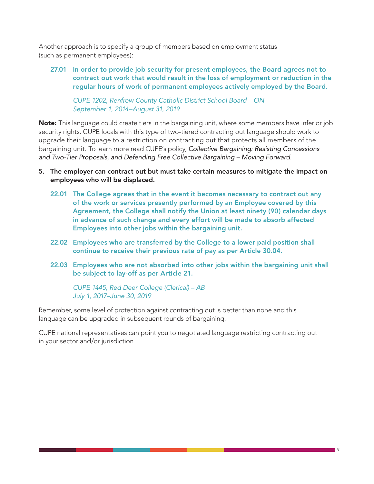Another approach is to specify a group of members based on employment status (such as permanent employees):

27.01 In order to provide job security for present employees, the Board agrees not to contract out work that would result in the loss of employment or reduction in the regular hours of work of permanent employees actively employed by the Board.

 *CUPE 1202, Renfrew County Catholic District School Board – ON September 1, 2014–August 31, 2019*

Note: This language could create tiers in the bargaining unit, where some members have inferior job security rights. CUPE locals with this type of two-tiered contracting out language should work to upgrade their language to a restriction on contracting out that protects all members of the bargaining unit. To learn more read CUPE's policy, *Collective Bargaining: Resisting Concessions and Two-Tier Proposals, and Defending Free Collective Bargaining – Moving Forward.* 

- 5. The employer can contract out but must take certain measures to mitigate the impact on employees who will be displaced.
	- 22.01 The College agrees that in the event it becomes necessary to contract out any of the work or services presently performed by an Employee covered by this Agreement, the College shall notify the Union at least ninety (90) calendar days in advance of such change and every effort will be made to absorb affected Employees into other jobs within the bargaining unit.
	- 22.02 Employees who are transferred by the College to a lower paid position shall continue to receive their previous rate of pay as per Article 30.04.
	- 22.03 Employees who are not absorbed into other jobs within the bargaining unit shall be subject to lay-off as per Article 21.

 *CUPE 1445, Red Deer College (Clerical) – AB July 1, 2017–June 30, 2019*

Remember, some level of protection against contracting out is better than none and this language can be upgraded in subsequent rounds of bargaining.

CUPE national representatives can point you to negotiated language restricting contracting out in your sector and/or jurisdiction.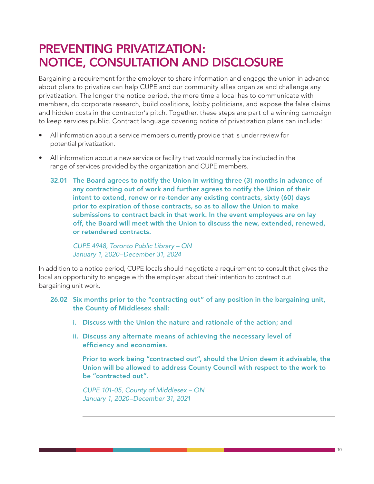### PREVENTING PRIVATIZATION: NOTICE, CONSULTATION AND DISCLOSURE

Bargaining a requirement for the employer to share information and engage the union in advance about plans to privatize can help CUPE and our community allies organize and challenge any privatization. The longer the notice period, the more time a local has to communicate with members, do corporate research, build coalitions, lobby politicians, and expose the false claims and hidden costs in the contractor's pitch. Together, these steps are part of a winning campaign to keep services public. Contract language covering notice of privatization plans can include:

- All information about a service members currently provide that is under review for potential privatization.
- All information about a new service or facility that would normally be included in the range of services provided by the organization and CUPE members.
	- 32.01 The Board agrees to notify the Union in writing three (3) months in advance of any contracting out of work and further agrees to notify the Union of their intent to extend, renew or re-tender any existing contracts, sixty (60) days prior to expiration of those contracts, so as to allow the Union to make submissions to contract back in that work. In the event employees are on lay off, the Board will meet with the Union to discuss the new, extended, renewed, or retendered contracts.

 *CUPE 4948, Toronto Public Library – ON January 1, 2020–December 31, 2024*

In addition to a notice period, CUPE locals should negotiate a requirement to consult that gives the local an opportunity to engage with the employer about their intention to contract out bargaining unit work.

- 26.02 Six months prior to the "contracting out" of any position in the bargaining unit, the County of Middlesex shall:
	- i. Discuss with the Union the nature and rationale of the action; and
	- ii. Discuss any alternate means of achieving the necessary level of efficiency and economies.

 Prior to work being "contracted out", should the Union deem it advisable, the Union will be allowed to address County Council with respect to the work to be "contracted out".

 *CUPE 101-05, County of Middlesex – ON January 1, 2020–December 31, 2021*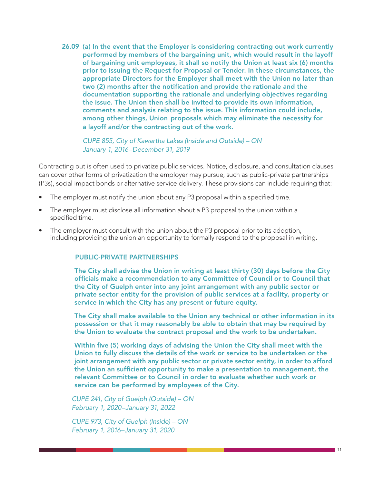26.09 (a) In the event that the Employer is considering contracting out work currently performed by members of the bargaining unit, which would result in the layoff of bargaining unit employees, it shall so notify the Union at least six (6) months prior to issuing the Request for Proposal or Tender. In these circumstances, the appropriate Directors for the Employer shall meet with the Union no later than two (2) months after the notification and provide the rationale and the documentation supporting the rationale and underlying objectives regarding the issue. The Union then shall be invited to provide its own information, comments and analysis relating to the issue. This information could include, among other things, Union proposals which may eliminate the necessity for a layoff and/or the contracting out of the work.

 *CUPE 855, City of Kawartha Lakes (Inside and Outside) – ON January 1, 2016–December 31, 2019*

Contracting out is often used to privatize public services. Notice, disclosure, and consultation clauses can cover other forms of privatization the employer may pursue, such as public-private partnerships (P3s), social impact bonds or alternative service delivery. These provisions can include requiring that:

- The employer must notify the union about any P3 proposal within a specified time.
- The employer must disclose all information about a P3 proposal to the union within a specified time.
- The employer must consult with the union about the P3 proposal prior to its adoption, including providing the union an opportunity to formally respond to the proposal in writing.

#### PUBLIC-PRIVATE PARTNERSHIPS

The City shall advise the Union in writing at least thirty (30) days before the City officials make a recommendation to any Committee of Council or to Council that the City of Guelph enter into any joint arrangement with any public sector or private sector entity for the provision of public services at a facility, property or service in which the City has any present or future equity.

The City shall make available to the Union any technical or other information in its possession or that it may reasonably be able to obtain that may be required by the Union to evaluate the contract proposal and the work to be undertaken.

Within five (5) working days of advising the Union the City shall meet with the Union to fully discuss the details of the work or service to be undertaken or the joint arrangement with any public sector or private sector entity, in order to afford the Union an sufficient opportunity to make a presentation to management, the relevant Committee or to Council in order to evaluate whether such work or service can be performed by employees of the City.

*CUPE 241, City of Guelph (Outside) – ON February 1, 2020–January 31, 2022*

*CUPE 973, City of Guelph (Inside) – ON February 1, 2016–January 31, 2020*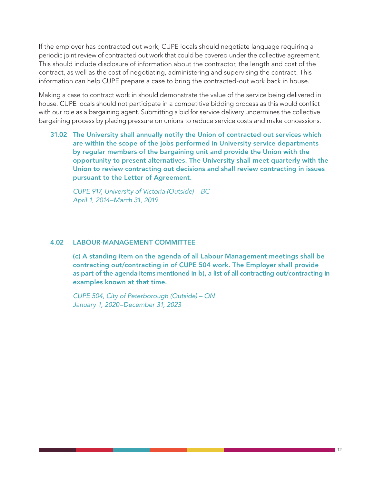If the employer has contracted out work, CUPE locals should negotiate language requiring a periodic joint review of contracted out work that could be covered under the collective agreement. This should include disclosure of information about the contractor, the length and cost of the contract, as well as the cost of negotiating, administering and supervising the contract. This information can help CUPE prepare a case to bring the contracted-out work back in house.

Making a case to contract work in should demonstrate the value of the service being delivered in house. CUPE locals should not participate in a competitive bidding process as this would conflict with our role as a bargaining agent. Submitting a bid for service delivery undermines the collective bargaining process by placing pressure on unions to reduce service costs and make concessions.

31.02 The University shall annually notify the Union of contracted out services which are within the scope of the jobs performed in University service departments by regular members of the bargaining unit and provide the Union with the opportunity to present alternatives. The University shall meet quarterly with the Union to review contracting out decisions and shall review contracting in issues pursuant to the Letter of Agreement.

 *CUPE 917, University of Victoria (Outside) – BC April 1, 2014–March 31, 2019*

#### 4.02 LABOUR-MANAGEMENT COMMITTEE

 (c) A standing item on the agenda of all Labour Management meetings shall be contracting out/contracting in of CUPE 504 work. The Employer shall provide as part of the agenda items mentioned in b), a list of all contracting out/contracting in examples known at that time.

 *CUPE 504, City of Peterborough (Outside) – ON January 1, 2020–December 31, 2023*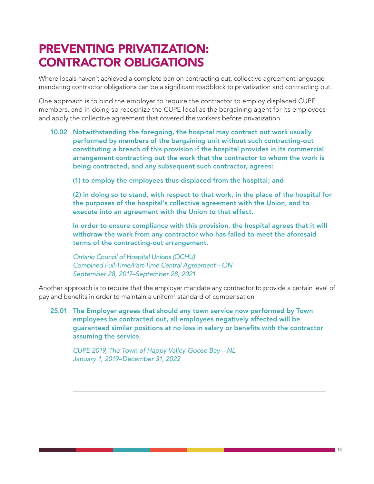## PREVENTING PRIVATIZATION: CONTRACTOR OBLIGATIONS

Where locals haven't achieved a complete ban on contracting out, collective agreement language mandating contractor obligations can be a significant roadblock to privatization and contracting out.

One approach is to bind the employer to require the contractor to employ displaced CUPE members, and in doing so recognize the CUPE local as the bargaining agent for its employees and apply the collective agreement that covered the workers before privatization.

- 10.02 Notwithstanding the foregoing, the hospital may contract out work usually performed by members of the bargaining unit without such contracting-out constituting a breach of this provision if the hospital provides in its commercial arrangement contracting out the work that the contractor to whom the work is being contracted, and any subsequent such contractor, agrees:
	- (1) to employ the employees thus displaced from the hospital; and

 (2) in doing so to stand, with respect to that work, in the place of the hospital for the purposes of the hospital's collective agreement with the Union, and to execute into an agreement with the Union to that effect.

 In order to ensure compliance with this provision, the hospital agrees that it will withdraw the work from any contractor who has failed to meet the aforesaid terms of the contracting-out arrangement.

 *Ontario Council of Hospital Unions (OCHU) Combined Full-Time/Part-Time Central Agreement – ON September 28, 2017–September 28, 2021*

Another approach is to require that the employer mandate any contractor to provide a certain level of pay and benefits in order to maintain a uniform standard of compensation.

25.01 The Employer agrees that should any town service now performed by Town employees be contracted out, all employees negatively affected will be guaranteed similar positions at no loss in salary or benefits with the contractor assuming the service.

 *CUPE 2019, The Town of Happy Valley-Goose Bay – NL January 1, 2019–December 31, 2022*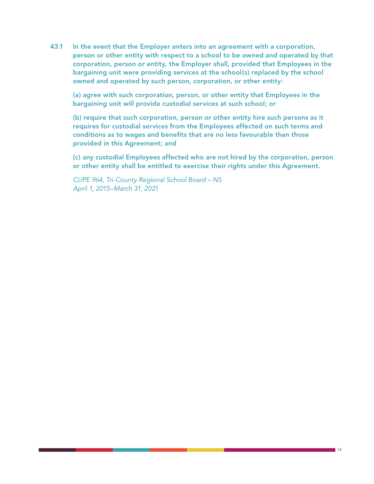43.1 In the event that the Employer enters into an agreement with a corporation, person or other entity with respect to a school to be owned and operated by that corporation, person or entity, the Employer shall, provided that Employees in the bargaining unit were providing services at the school(s) replaced by the school owned and operated by such person, corporation, or other entity:

 (a) agree with such corporation, person, or other entity that Employees in the bargaining unit will provide custodial services at such school; or

 (b) require that such corporation, person or other entity hire such persons as it requires for custodial services from the Employees affected on such terms and conditions as to wages and benefits that are no less favourable than those provided in this Agreement; and

 (c) any custodial Employees affected who are not hired by the corporation, person or other entity shall be entitled to exercise their rights under this Agreement.

 *CUPE 964, Tri-County Regional School Board – NS April 1, 2015–March 31, 2021*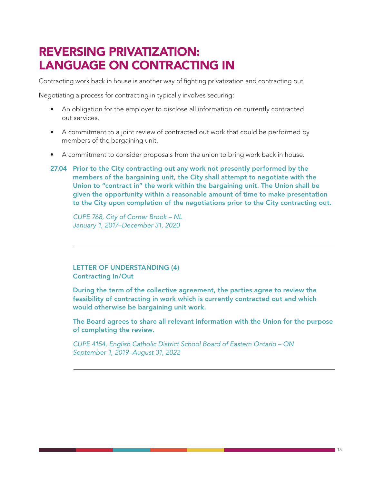### REVERSING PRIVATIZATION: LANGUAGE ON CONTRACTING IN

Contracting work back in house is another way of fighting privatization and contracting out.

Negotiating a process for contracting in typically involves securing:

- An obligation for the employer to disclose all information on currently contracted out services.
- A commitment to a joint review of contracted out work that could be performed by members of the bargaining unit.
- A commitment to consider proposals from the union to bring work back in house.
- 27.04 Prior to the City contracting out any work not presently performed by the members of the bargaining unit, the City shall attempt to negotiate with the Union to "contract in" the work within the bargaining unit. The Union shall be given the opportunity within a reasonable amount of time to make presentation to the City upon completion of the negotiations prior to the City contracting out.

 *CUPE 768, City of Corner Brook – NL January 1, 2017–December 31, 2020*

#### LETTER OF UNDERSTANDING (4) Contracting In/Out

 During the term of the collective agreement, the parties agree to review the feasibility of contracting in work which is currently contracted out and which would otherwise be bargaining unit work.

 The Board agrees to share all relevant information with the Union for the purpose of completing the review.

 *CUPE 4154, English Catholic District School Board of Eastern Ontario – ON September 1, 2019–August 31, 2022*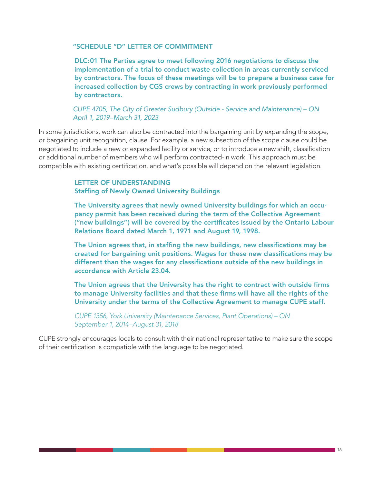#### "SCHEDULE "D" LETTER OF COMMITMENT

DLC:01 The Parties agree to meet following 2016 negotiations to discuss the implementation of a trial to conduct waste collection in areas currently serviced by contractors. The focus of these meetings will be to prepare a business case for increased collection by CGS crews by contracting in work previously performed by contractors.

 *CUPE 4705, The City of Greater Sudbury (Outside - Service and Maintenance) – ON April 1, 2019–March 31, 2023*

In some jurisdictions, work can also be contracted into the bargaining unit by expanding the scope, or bargaining unit recognition, clause. For example, a new subsection of the scope clause could be negotiated to include a new or expanded facility or service, or to introduce a new shift, classification or additional number of members who will perform contracted-in work. This approach must be compatible with existing certification, and what's possible will depend on the relevant legislation.

#### LETTER OF UNDERSTANDING **Staffing of Newly Owned University Buildings**

The University agrees that newly owned University buildings for which an occupancy permit has been received during the term of the Collective Agreement ("new buildings") will be covered by the certificates issued by the Ontario Labour Relations Board dated March 1, 1971 and August 19, 1998.

The Union agrees that, in staffing the new buildings, new classifications may be created for bargaining unit positions. Wages for these new classifications may be different than the wages for any classifications outside of the new buildings in accordance with Article 23.04.

The Union agrees that the University has the right to contract with outside firms to manage University facilities and that these firms will have all the rights of the University under the terms of the Collective Agreement to manage CUPE staff.

*CUPE 1356, York University (Maintenance Services, Plant Operations) – ON September 1, 2014–August 31, 2018*

CUPE strongly encourages locals to consult with their national representative to make sure the scope of their certification is compatible with the language to be negotiated.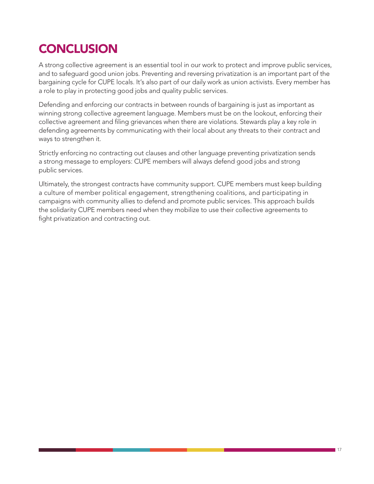# **CONCLUSION**

A strong collective agreement is an essential tool in our work to protect and improve public services, and to safeguard good union jobs. Preventing and reversing privatization is an important part of the bargaining cycle for CUPE locals. It's also part of our daily work as union activists. Every member has a role to play in protecting good jobs and quality public services.

Defending and enforcing our contracts in between rounds of bargaining is just as important as winning strong collective agreement language. Members must be on the lookout, enforcing their collective agreement and filing grievances when there are violations. Stewards play a key role in defending agreements by communicating with their local about any threats to their contract and ways to strengthen it.

Strictly enforcing no contracting out clauses and other language preventing privatization sends a strong message to employers: CUPE members will always defend good jobs and strong public services.

Ultimately, the strongest contracts have community support. CUPE members must keep building a culture of member political engagement, strengthening coalitions, and participating in campaigns with community allies to defend and promote public services. This approach builds the solidarity CUPE members need when they mobilize to use their collective agreements to fight privatization and contracting out.